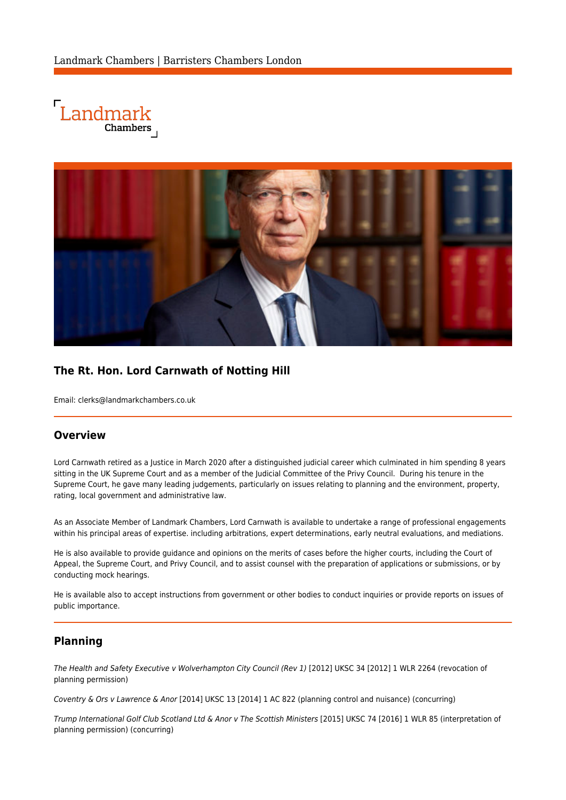



# **The Rt. Hon. Lord Carnwath of Notting Hill**

Email: [clerks@landmarkchambers.co.uk](mailto:clerks@landmarkchambers.co.uk)

## **Overview**

Lord Carnwath retired as a Justice in March 2020 after a distinguished judicial career which culminated in him spending 8 years sitting in the UK Supreme Court and as a member of the Judicial Committee of the Privy Council. During his tenure in the Supreme Court, he gave many leading judgements, particularly on issues relating to planning and the environment, property, rating, local government and administrative law.

As an Associate Member of Landmark Chambers, Lord Carnwath is available to undertake a range of professional engagements within his principal areas of expertise. including arbitrations, expert determinations, early neutral evaluations, and mediations.

He is also available to provide guidance and opinions on the merits of cases before the higher courts, including the Court of Appeal, the Supreme Court, and Privy Council, and to assist counsel with the preparation of applications or submissions, or by conducting mock hearings.

He is available also to accept instructions from government or other bodies to conduct inquiries or provide reports on issues of public importance.

## **Planning**

The Health and Safety Executive v Wolverhampton City Council (Rev 1) [2012] UKSC 34 [2012] 1 WLR 2264 (revocation of planning permission)

Coventry & Ors v Lawrence & Anor [2014] UKSC 13 [2014] 1 AC 822 (planning control and nuisance) (concurring)

Trump International Golf Club Scotland Ltd & Anor v The Scottish Ministers [2015] UKSC 74 [2016] 1 WLR 85 (interpretation of planning permission) (concurring)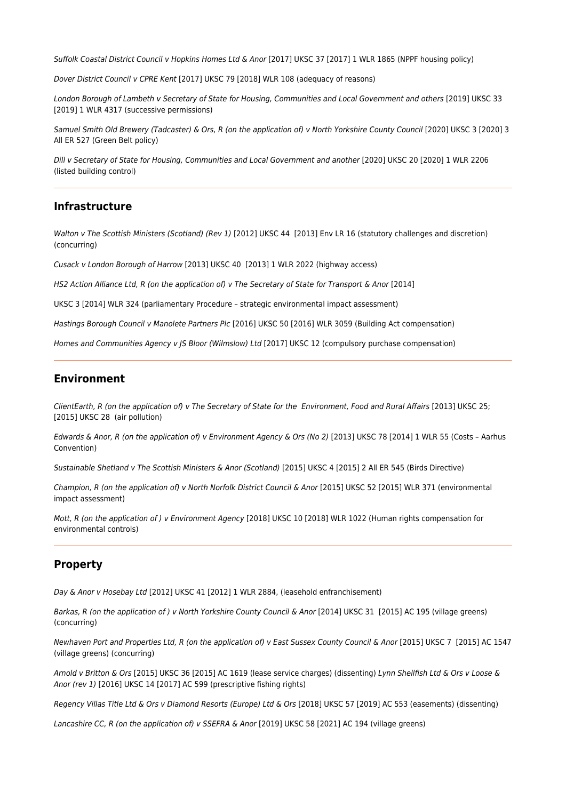Suffolk Coastal District Council v Hopkins Homes Ltd & Anor [2017] UKSC 37 [2017] 1 WLR 1865 (NPPF housing policy)

Dover District Council v CPRE Kent [2017] UKSC 79 [2018] WLR 108 (adequacy of reasons)

London Borough of Lambeth v Secretary of State for Housing, Communities and Local Government and others [2019] UKSC 33 [2019] 1 WLR 4317 (successive permissions)

Samuel Smith Old Brewery (Tadcaster) & Ors, R (on the application of) v North Yorkshire County Council [2020] UKSC 3 [2020] 3 All ER 527 (Green Belt policy)

Dill v Secretary of State for Housing, Communities and Local Government and another [2020] UKSC 20 [2020] 1 WLR 2206 (listed building control)

### **Infrastructure**

Walton v The Scottish Ministers (Scotland) (Rev 1) [2012] UKSC 44 [2013] Env LR 16 (statutory challenges and discretion) (concurring)

Cusack v London Borough of Harrow [2013] UKSC 40 [2013] 1 WLR 2022 (highway access)

HS2 Action Alliance Ltd, R (on the application of) v The Secretary of State for Transport & Anor [2014]

UKSC 3 [2014] WLR 324 (parliamentary Procedure – strategic environmental impact assessment)

Hastings Borough Council v Manolete Partners Plc [2016] UKSC 50 [2016] WLR 3059 (Building Act compensation)

Homes and Communities Agency v JS Bloor (Wilmslow) Ltd [2017] UKSC 12 (compulsory purchase compensation)

#### **Environment**

ClientEarth, R (on the application of) v The Secretary of State for the Environment, Food and Rural Affairs [2013] UKSC 25; [2015] UKSC 28 (air pollution)

Edwards & Anor, R (on the application of) v Environment Agency & Ors (No 2) [2013] UKSC 78 [2014] 1 WLR 55 (Costs – Aarhus Convention)

Sustainable Shetland v The Scottish Ministers & Anor (Scotland) [2015] UKSC 4 [2015] 2 All ER 545 (Birds Directive)

Champion, R (on the application of) v North Norfolk District Council & Anor [2015] UKSC 52 [2015] WLR 371 (environmental impact assessment)

Mott, R (on the application of ) v Environment Agency [2018] UKSC 10 [2018] WLR 1022 (Human rights compensation for environmental controls)

#### **Property**

Day & Anor v Hosebay Ltd [2012] UKSC 41 [2012] 1 WLR 2884, (leasehold enfranchisement)

Barkas, R (on the application of ) v North Yorkshire County Council & Anor [2014] UKSC 31 [2015] AC 195 (village greens) (concurring)

Newhaven Port and Properties Ltd, R (on the application of) v East Sussex County Council & Anor [2015] UKSC 7 [2015] AC 1547 (village greens) (concurring)

Arnold v Britton & Ors [2015] UKSC 36 [2015] AC 1619 (lease service charges) (dissenting) Lynn Shellfish Ltd & Ors v Loose & Anor (rev 1) [2016] UKSC 14 [2017] AC 599 (prescriptive fishing rights)

Regency Villas Title Ltd & Ors v Diamond Resorts (Europe) Ltd & Ors [2018] UKSC 57 [2019] AC 553 (easements) (dissenting)

Lancashire CC, R (on the application of) v SSEFRA & Anor [2019] UKSC 58 [2021] AC 194 (village greens)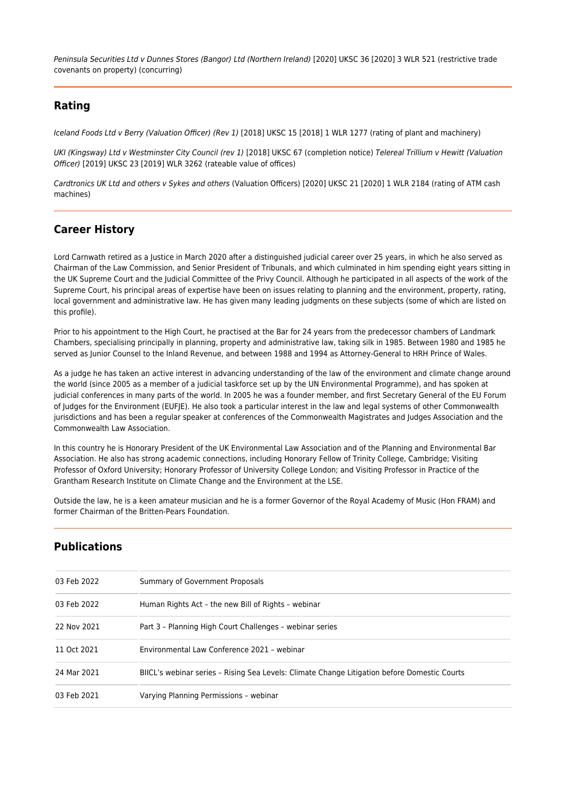Peninsula Securities Ltd v Dunnes Stores (Bangor) Ltd (Northern Ireland) [2020] UKSC 36 [2020] 3 WLR 521 (restrictive trade covenants on property) (concurring)

## **Rating**

Iceland Foods Ltd v Berry (Valuation Officer) (Rev 1) [2018] UKSC 15 [2018] 1 WLR 1277 (rating of plant and machinery)

UKI (Kingsway) Ltd v Westminster City Council (rev 1) [2018] UKSC 67 (completion notice) Telereal Trillium v Hewitt (Valuation Officer) [2019] UKSC 23 [2019] WLR 3262 (rateable value of offices)

Cardtronics UK Ltd and others v Sykes and others (Valuation Officers) [2020] UKSC 21 [2020] 1 WLR 2184 (rating of ATM cash machines)

# **Career History**

Lord Carnwath retired as a Justice in March 2020 after a distinguished judicial career over 25 years, in which he also served as Chairman of the Law Commission, and Senior President of Tribunals, and which culminated in him spending eight years sitting in the UK Supreme Court and the Judicial Committee of the Privy Council. Although he participated in all aspects of the work of the Supreme Court, his principal areas of expertise have been on issues relating to planning and the environment, property, rating, local government and administrative law. He has given many leading judgments on these subjects (some of which are listed on this profile).

Prior to his appointment to the High Court, he practised at the Bar for 24 years from the predecessor chambers of Landmark Chambers, specialising principally in planning, property and administrative law, taking silk in 1985. Between 1980 and 1985 he served as Junior Counsel to the Inland Revenue, and between 1988 and 1994 as Attorney-General to HRH Prince of Wales.

As a judge he has taken an active interest in advancing understanding of the law of the environment and climate change around the world (since 2005 as a member of a judicial taskforce set up by the UN Environmental Programme), and has spoken at judicial conferences in many parts of the world. In 2005 he was a founder member, and first Secretary General of the EU Forum of Judges for the Environment (EUFJE). He also took a particular interest in the law and legal systems of other Commonwealth jurisdictions and has been a regular speaker at conferences of the Commonwealth Magistrates and Judges Association and the Commonwealth Law Association.

In this country he is Honorary President of the UK Environmental Law Association and of the Planning and Environmental Bar Association. He also has strong academic connections, including Honorary Fellow of Trinity College, Cambridge; Visiting Professor of Oxford University; Honorary Professor of University College London; and Visiting Professor in Practice of the Grantham Research Institute on Climate Change and the Environment at the LSE.

Outside the law, he is a keen amateur musician and he is a former Governor of the Royal Academy of Music (Hon FRAM) and former Chairman of the Britten-Pears Foundation.

## **Publications**

| 03 Feb 2022 | Summary of Government Proposals                                                              |
|-------------|----------------------------------------------------------------------------------------------|
| 03 Feb 2022 | Human Rights Act - the new Bill of Rights - webinar                                          |
| 22 Nov 2021 | Part 3 - Planning High Court Challenges - webinar series                                     |
| 11 Oct 2021 | Environmental Law Conference 2021 - webinar                                                  |
| 24 Mar 2021 | BIICL's webinar series - Rising Sea Levels: Climate Change Litigation before Domestic Courts |
| 03 Feb 2021 | Varying Planning Permissions - webinar                                                       |